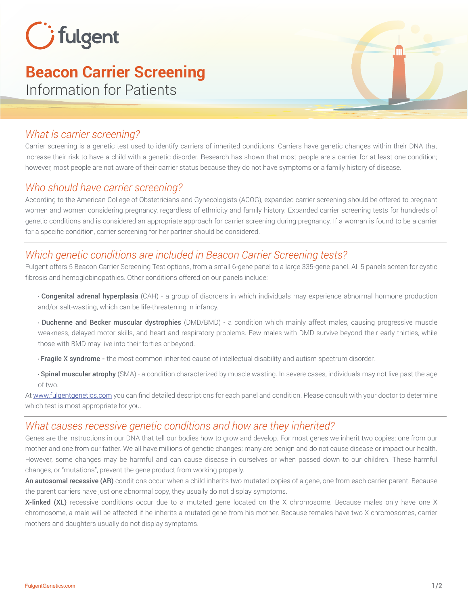

# **Beacon Carrier Screening**

Information for Patients

# *What is carrier screening?*

Carrier screening is a genetic test used to identify carriers of inherited conditions. Carriers have genetic changes within their DNA that increase their risk to have a child with a genetic disorder. Research has shown that most people are a carrier for at least one condition; however, most people are not aware of their carrier status because they do not have symptoms or a family history of disease.

# *Who should have carrier screening?*

According to the American College of Obstetricians and Gynecologists (ACOG), expanded carrier screening should be offered to pregnant women and women considering pregnancy, regardless of ethnicity and family history. Expanded carrier screening tests for hundreds of genetic conditions and is considered an appropriate approach for carrier screening during pregnancy. If a woman is found to be a carrier for a specific condition, carrier screening for her partner should be considered.

# *Which genetic conditions are included in Beacon Carrier Screening tests?*

Fulgent offers 5 Beacon Carrier Screening Test options, from a small 6-gene panel to a large 335-gene panel. All 5 panels screen for cystic fibrosis and hemoglobinopathies. Other conditions offered on our panels include:

∙ Congenital adrenal hyperplasia (CAH) - a group of disorders in which individuals may experience abnormal hormone production and/or salt-wasting, which can be life-threatening in infancy.

∙ Duchenne and Becker muscular dystrophies (DMD/BMD) - a condition which mainly affect males, causing progressive muscle weakness, delayed motor skills, and heart and respiratory problems. Few males with DMD survive beyond their early thirties, while those with BMD may live into their forties or beyond.

∙ Fragile X syndrome - the most common inherited cause of intellectual disability and autism spectrum disorder.

∙ Spinal muscular atrophy (SMA) - a condition characterized by muscle wasting. In severe cases, individuals may not live past the age of two.

At www.fulgentgenetics.com you can find detailed descriptions for each panel and condition. Please consult with your doctor to determine which test is most appropriate for you.

# *What causes recessive genetic conditions and how are they inherited?*

Genes are the instructions in our DNA that tell our bodies how to grow and develop. For most genes we inherit two copies: one from our mother and one from our father. We all have millions of genetic changes; many are benign and do not cause disease or impact our health. However, some changes may be harmful and can cause disease in ourselves or when passed down to our children. These harmful changes, or "mutations", prevent the gene product from working properly.

An autosomal recessive (AR) conditions occur when a child inherits two mutated copies of a gene, one from each carrier parent. Because the parent carriers have just one abnormal copy, they usually do not display symptoms.

X-linked (XL) recessive conditions occur due to a mutated gene located on the X chromosome. Because males only have one X chromosome, a male will be affected if he inherits a mutated gene from his mother. Because females have two X chromosomes, carrier mothers and daughters usually do not display symptoms.